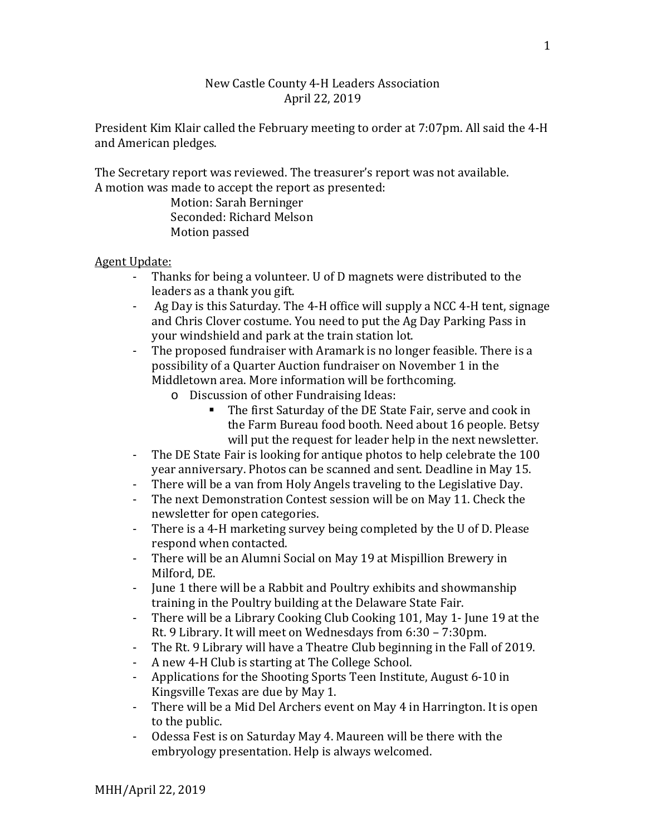## New Castle County 4-H Leaders Association April 22, 2019

President Kim Klair called the February meeting to order at 7:07pm. All said the 4-H and American pledges.

The Secretary report was reviewed. The treasurer's report was not available. A motion was made to accept the report as presented:

Motion: Sarah Berninger Seconded: Richard Melson Motion passed

## Agent Update:

- Thanks for being a volunteer. U of D magnets were distributed to the leaders as a thank you gift.
- Ag Day is this Saturday. The 4-H office will supply a NCC 4-H tent, signage and Chris Clover costume. You need to put the Ag Day Parking Pass in your windshield and park at the train station lot.
- The proposed fundraiser with Aramark is no longer feasible. There is a possibility of a Quarter Auction fundraiser on November 1 in the Middletown area. More information will be forthcoming.
	- o Discussion of other Fundraising Ideas:
		- The first Saturday of the DE State Fair, serve and cook in the Farm Bureau food booth. Need about 16 people. Betsy will put the request for leader help in the next newsletter.
- The DE State Fair is looking for antique photos to help celebrate the 100 year anniversary. Photos can be scanned and sent. Deadline in May 15.
- There will be a van from Holy Angels traveling to the Legislative Day.<br>- The next Demonstration Contest session will be on May 11, Check the
- The next Demonstration Contest session will be on May 11. Check the newsletter for open categories.
- There is a 4-H marketing survey being completed by the U of D. Please respond when contacted.
- There will be an Alumni Social on May 19 at Mispillion Brewery in Milford, DE.
- June 1 there will be a Rabbit and Poultry exhibits and showmanship training in the Poultry building at the Delaware State Fair.
- There will be a Library Cooking Club Cooking 101, May 1- June 19 at the Rt. 9 Library. It will meet on Wednesdays from 6:30 – 7:30pm.
- The Rt. 9 Library will have a Theatre Club beginning in the Fall of 2019.<br>- A new 4-H Club is starting at The College School.
- A new 4-H Club is starting at The College School.
- Applications for the Shooting Sports Teen Institute, August 6-10 in Kingsville Texas are due by May 1.
- There will be a Mid Del Archers event on May 4 in Harrington. It is open to the public.
- Odessa Fest is on Saturday May 4. Maureen will be there with the embryology presentation. Help is always welcomed.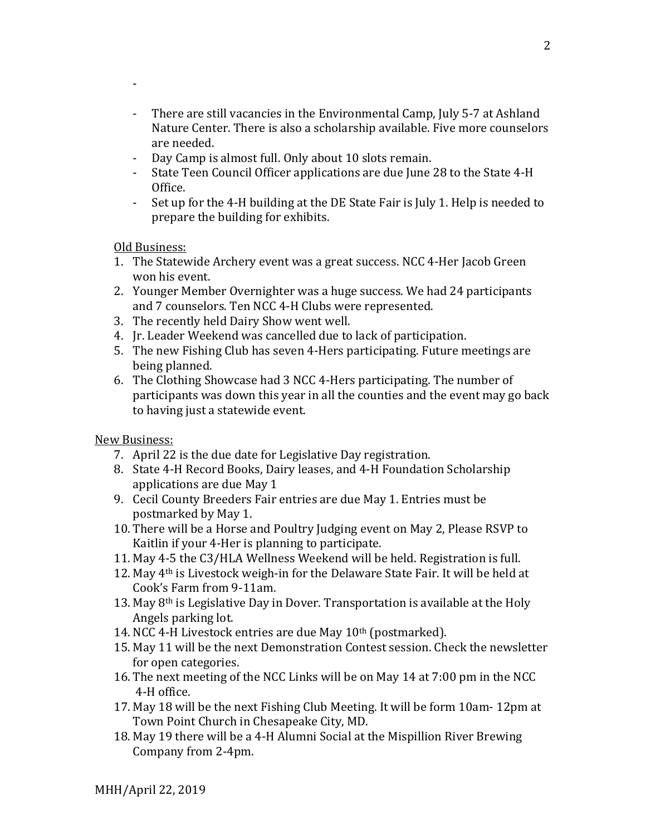- There are still vacancies in the Environmental Camp, July 5-7 at Ashland Nature Center. There is also a scholarship available. Five more counselors are needed.
- Day Camp is almost full. Only about 10 slots remain.<br>- State Teen Council Officer applications are due June
- State Teen Council Officer applications are due June 28 to the State 4-H Office.
- Set up for the 4-H building at the DE State Fair is July 1. Help is needed to prepare the building for exhibits.

Old Business:

-

- 1. The Statewide Archery event was a great success. NCC 4-Her Jacob Green won his event.
- 2. Younger Member Overnighter was a huge success. We had 24 participants and 7 counselors. Ten NCC 4-H Clubs were represented.
- 3. The recently held Dairy Show went well.
- 4. Jr. Leader Weekend was cancelled due to lack of participation.
- 5. The new Fishing Club has seven 4-Hers participating. Future meetings are being planned.
- 6. The Clothing Showcase had 3 NCC 4-Hers participating. The number of participants was down this year in all the counties and the event may go back to having just a statewide event.

New Business:

- 7. April 22 is the due date for Legislative Day registration.
- 8. State 4-H Record Books, Dairy leases, and 4-H Foundation Scholarship applications are due May 1
- 9. Cecil County Breeders Fair entries are due May 1. Entries must be postmarked by May 1.
- 10. There will be a Horse and Poultry Judging event on May 2, Please RSVP to Kaitlin if your 4-Her is planning to participate.
- 11. May 4-5 the C3/HLA Wellness Weekend will be held. Registration is full.
- 12. May 4th is Livestock weigh-in for the Delaware State Fair. It will be held at Cook's Farm from 9-11am.
- 13. May 8th is Legislative Day in Dover. Transportation is available at the Holy Angels parking lot.
- 14. NCC 4-H Livestock entries are due May 10<sup>th</sup> (postmarked).
- 15. May 11 will be the next Demonstration Contest session. Check the newsletter for open categories.
- 16. The next meeting of the NCC Links will be on May 14 at 7:00 pm in the NCC 4-H office.
- 17. May 18 will be the next Fishing Club Meeting. It will be form 10am- 12pm at Town Point Church in Chesapeake City, MD.
- 18. May 19 there will be a 4-H Alumni Social at the Mispillion River Brewing Company from 2-4pm.